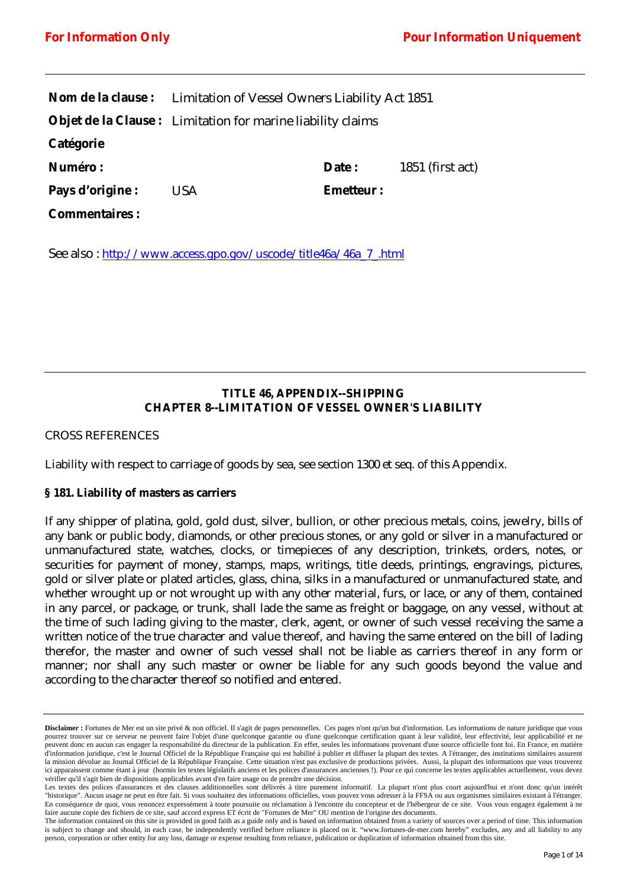|                      | <b>Nom de la clause:</b> Limitation of Vessel Owners Liability Act 1851 |                  |                    |
|----------------------|-------------------------------------------------------------------------|------------------|--------------------|
|                      | <b>Objet de la Clause :</b> Limitation for marine liability claims      |                  |                    |
| Catégorie            |                                                                         |                  |                    |
| <b>Numéro :</b>      |                                                                         | Date :           | $1851$ (first act) |
| Pays d'origine :     | <b>USA</b>                                                              | <b>Emetteur:</b> |                    |
| <b>Commentaires:</b> |                                                                         |                  |                    |

See also : [http://www.access.gpo.gov/uscode/title46a/46a\\_7\\_.html](http://www.access.gpo.gov/uscode/title46a/46a_7_.html)

# **TITLE 46, APPENDIX--SHIPPING CHAPTER 8--LIMITATION OF VESSEL OWNER'S LIABILITY**

## *CROSS REFERENCES*

Liability with respect to carriage of goods by sea, see section 1300 et seq. of this Appendix.

#### **§ 181. Liability of masters as carriers**

If any shipper of platina, gold, gold dust, silver, bullion, or other precious metals, coins, jewelry, bills of any bank or public body, diamonds, or other precious stones, or any gold or silver in a manufactured or unmanufactured state, watches, clocks, or timepieces of any description, trinkets, orders, notes, or securities for payment of money, stamps, maps, writings, title deeds, printings, engravings, pictures, gold or silver plate or plated articles, glass, china, silks in a manufactured or unmanufactured state, and whether wrought up or not wrought up with any other material, furs, or lace, or any of them, contained in any parcel, or package, or trunk, shall lade the same as freight or baggage, on any vessel, without at the time of such lading giving to the master, clerk, agent, or owner of such vessel receiving the same a written notice of the true character and value thereof, and having the same entered on the bill of lading therefor, the master and owner of such vessel shall not be liable as carriers thereof in any form or manner; nor shall any such master or owner be liable for any such goods beyond the value and according to the character thereof so notified and entered.

Disclaimer : Fortunes de Mer est un site privé & non officiel. Il s'agit de pages personnelles. Ces pages n'ont qu'un but d'information. Les informations de nature juridique que vous pourrez trouver sur ce serveur ne peuvent faire l'objet d'une quelconque garantie ou d'une quelconque certification quant à leur validité, leur effectivité, leur applicabilité et ne peuvent donc en aucun cas engager la responsabilité du directeur de la publication. En effet, seules les informations provenant d'une source officielle font foi. En France, en matière d'information juridique, c'est le Journal Officiel de la République Française qui est habilité à publier et diffuser la plupart des textes. A l'étranger, des institutions similaires assurent la mission dévolue au Journal Officiel de la République Française. Cette situation n'est pas exclusive de productions privées. Aussi, la plupart des informations que vous trouverez ici apparaissent comme étant à jour (hormis les textes législatifs anciens et les polices d'assurances anciennes !). Pour ce qui concerne les textes applicables actuellement, vous devez vérifier qu'il s'agit bien de dispositions applicables avant d'en faire usage ou de prendre une décision.

Les textes des polices d'assurances et des clauses additionnelles sont délivrés à titre purement informatif. La plupart n'ont plus court aujourd'hui et n'ont donc qu'un intérêt "historique". Aucun usage ne peut en être fait. Si vous souhaitez des informations officielles, vous pouvez vous adresser à la FFSA ou aux organismes similaires existant à l'étranger. En conséquence de quoi, vous renoncez expressément à toute poursuite ou réclamation à l'encontre du concepteur et de l'hébergeur de ce site. Vous vous engagez également à ne faire aucune copie des fichiers de ce site, sauf accord express ET écrit de "Fortunes de Mer" OU mention de l'origine des documents.

The information contained on this site is provided in good faith as a guide only and is based on information obtained from a variety of sources over a period of time. This information is subject to change and should, in each case, be independently verified before reliance is placed on it. "www.fortunes-de-mer.com hereby" excludes, any and all liability to any person, corporation or other entity for any loss, damage or expense resulting from reliance, publication or duplication of information obtained from this site.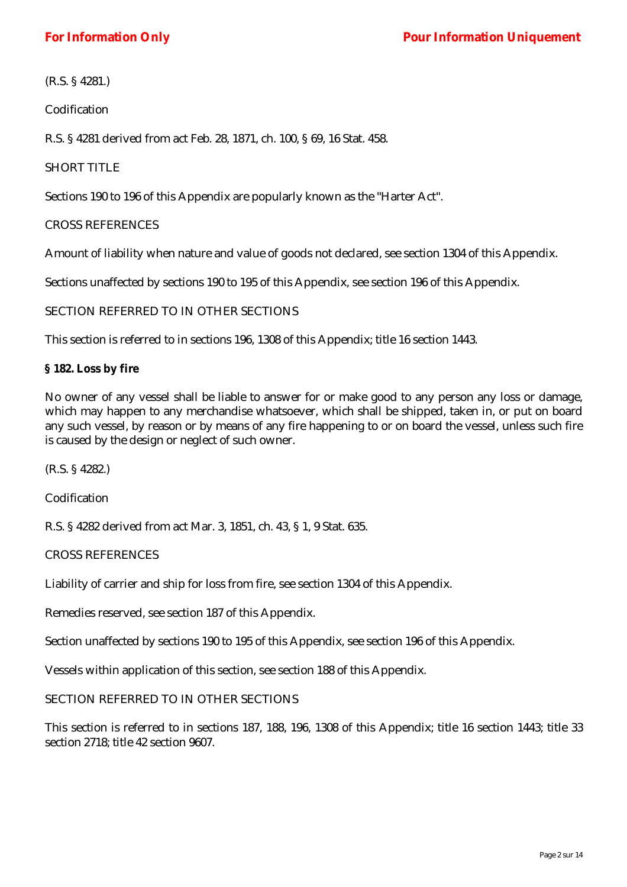(R.S. § 4281.)

Codification

R.S. § 4281 derived from act Feb. 28, 1871, ch. 100, § 69, 16 Stat. 458.

## SHORT TITLE

Sections 190 to 196 of this Appendix are popularly known as the "Harter Act".

#### *CROSS REFERENCES*

Amount of liability when nature and value of goods not declared, see section 1304 of this Appendix.

Sections unaffected by sections 190 to 195 of this Appendix, see section 196 of this Appendix.

## SECTION REFERRED TO IN OTHER SECTIONS

This section is referred to in sections 196, 1308 of this Appendix; title 16 section 1443.

## **§ 182. Loss by fire**

No owner of any vessel shall be liable to answer for or make good to any person any loss or damage, which may happen to any merchandise whatsoever, which shall be shipped, taken in, or put on board any such vessel, by reason or by means of any fire happening to or on board the vessel, unless such fire is caused by the design or neglect of such owner.

(R.S. § 4282.)

Codification

R.S. § 4282 derived from act Mar. 3, 1851, ch. 43, § 1, 9 Stat. 635.

*CROSS REFERENCES* 

Liability of carrier and ship for loss from fire, see section 1304 of this Appendix.

Remedies reserved, see section 187 of this Appendix.

Section unaffected by sections 190 to 195 of this Appendix, see section 196 of this Appendix.

Vessels within application of this section, see section 188 of this Appendix.

SECTION REFERRED TO IN OTHER SECTIONS

This section is referred to in sections 187, 188, 196, 1308 of this Appendix; title 16 section 1443; title 33 section 2718; title 42 section 9607.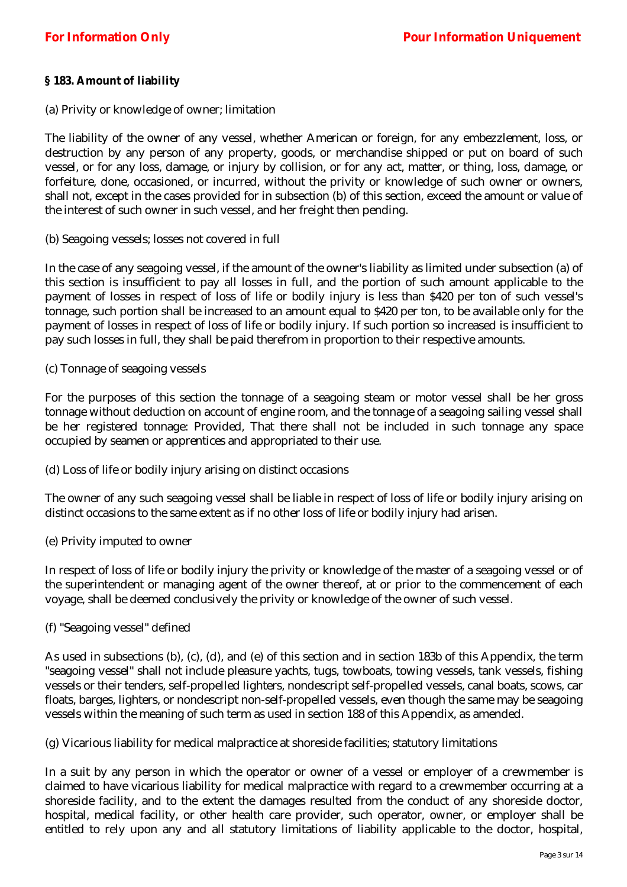## **§ 183. Amount of liability**

(a) Privity or knowledge of owner; limitation

The liability of the owner of any vessel, whether American or foreign, for any embezzlement, loss, or destruction by any person of any property, goods, or merchandise shipped or put on board of such vessel, or for any loss, damage, or injury by collision, or for any act, matter, or thing, loss, damage, or forfeiture, done, occasioned, or incurred, without the privity or knowledge of such owner or owners, shall not, except in the cases provided for in subsection (b) of this section, exceed the amount or value of the interest of such owner in such vessel, and her freight then pending.

(b) Seagoing vessels; losses not covered in full

In the case of any seagoing vessel, if the amount of the owner's liability as limited under subsection (a) of this section is insufficient to pay all losses in full, and the portion of such amount applicable to the payment of losses in respect of loss of life or bodily injury is less than \$420 per ton of such vessel's tonnage, such portion shall be increased to an amount equal to \$420 per ton, to be available only for the payment of losses in respect of loss of life or bodily injury. If such portion so increased is insufficient to pay such losses in full, they shall be paid therefrom in proportion to their respective amounts.

(c) Tonnage of seagoing vessels

For the purposes of this section the tonnage of a seagoing steam or motor vessel shall be her gross tonnage without deduction on account of engine room, and the tonnage of a seagoing sailing vessel shall be her registered tonnage: Provided, That there shall not be included in such tonnage any space occupied by seamen or apprentices and appropriated to their use.

(d) Loss of life or bodily injury arising on distinct occasions

The owner of any such seagoing vessel shall be liable in respect of loss of life or bodily injury arising on distinct occasions to the same extent as if no other loss of life or bodily injury had arisen.

(e) Privity imputed to owner

In respect of loss of life or bodily injury the privity or knowledge of the master of a seagoing vessel or of the superintendent or managing agent of the owner thereof, at or prior to the commencement of each voyage, shall be deemed conclusively the privity or knowledge of the owner of such vessel.

(f) "Seagoing vessel" defined

As used in subsections (b), (c), (d), and (e) of this section and in section 183b of this Appendix, the term "seagoing vessel" shall not include pleasure yachts, tugs, towboats, towing vessels, tank vessels, fishing vessels or their tenders, self-propelled lighters, nondescript self-propelled vessels, canal boats, scows, car floats, barges, lighters, or nondescript non-self-propelled vessels, even though the same may be seagoing vessels within the meaning of such term as used in section 188 of this Appendix, as amended.

(g) Vicarious liability for medical malpractice at shoreside facilities; statutory limitations

In a suit by any person in which the operator or owner of a vessel or employer of a crewmember is claimed to have vicarious liability for medical malpractice with regard to a crewmember occurring at a shoreside facility, and to the extent the damages resulted from the conduct of any shoreside doctor, hospital, medical facility, or other health care provider, such operator, owner, or employer shall be entitled to rely upon any and all statutory limitations of liability applicable to the doctor, hospital,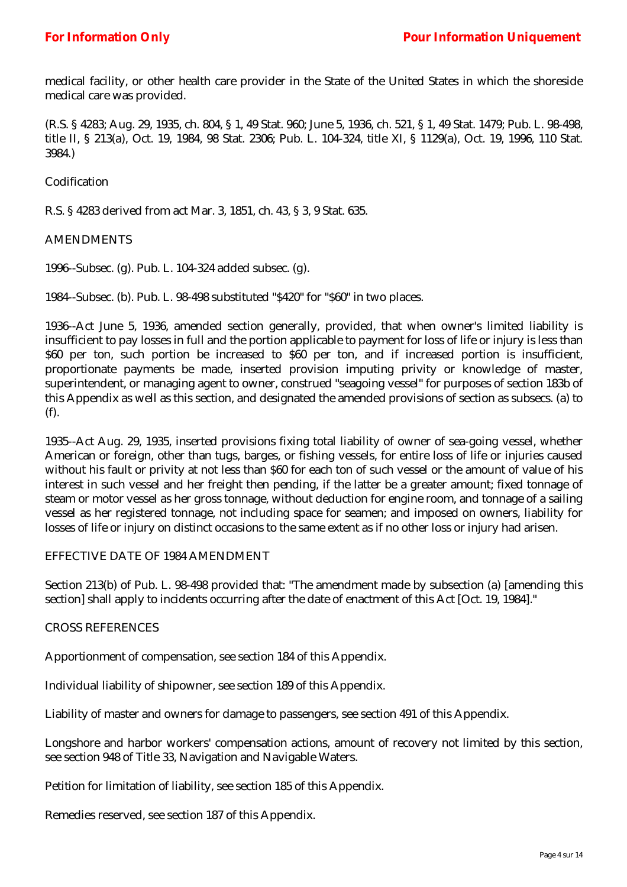medical facility, or other health care provider in the State of the United States in which the shoreside medical care was provided.

(R.S. § 4283; Aug. 29, 1935, ch. 804, § 1, 49 Stat. 960; June 5, 1936, ch. 521, § 1, 49 Stat. 1479; Pub. L. 98-498, title II, § 213(a), Oct. 19, 1984, 98 Stat. 2306; Pub. L. 104-324, title XI, § 1129(a), Oct. 19, 1996, 110 Stat. 3984.)

Codification

R.S. § 4283 derived from act Mar. 3, 1851, ch. 43, § 3, 9 Stat. 635.

#### AMENDMENTS

1996--Subsec. (g). Pub. L. 104-324 added subsec. (g).

1984--Subsec. (b). Pub. L. 98-498 substituted "\$420" for "\$60" in two places.

1936--Act June 5, 1936, amended section generally, provided, that when owner's limited liability is insufficient to pay losses in full and the portion applicable to payment for loss of life or injury is less than \$60 per ton, such portion be increased to \$60 per ton, and if increased portion is insufficient, proportionate payments be made, inserted provision imputing privity or knowledge of master, superintendent, or managing agent to owner, construed "seagoing vessel" for purposes of section 183b of this Appendix as well as this section, and designated the amended provisions of section as subsecs. (a) to (f).

1935--Act Aug. 29, 1935, inserted provisions fixing total liability of owner of sea-going vessel, whether American or foreign, other than tugs, barges, or fishing vessels, for entire loss of life or injuries caused without his fault or privity at not less than \$60 for each ton of such vessel or the amount of value of his interest in such vessel and her freight then pending, if the latter be a greater amount; fixed tonnage of steam or motor vessel as her gross tonnage, without deduction for engine room, and tonnage of a sailing vessel as her registered tonnage, not including space for seamen; and imposed on owners, liability for losses of life or injury on distinct occasions to the same extent as if no other loss or injury had arisen.

## EFFECTIVE DATE OF 1984 AMENDMENT

Section 213(b) of Pub. L. 98-498 provided that: "The amendment made by subsection (a) [amending this section] shall apply to incidents occurring after the date of enactment of this Act [Oct. 19, 1984]."

#### *CROSS REFERENCES*

Apportionment of compensation, see section 184 of this Appendix.

Individual liability of shipowner, see section 189 of this Appendix.

Liability of master and owners for damage to passengers, see section 491 of this Appendix.

Longshore and harbor workers' compensation actions, amount of recovery not limited by this section, see section 948 of Title 33, Navigation and Navigable Waters.

Petition for limitation of liability, see section 185 of this Appendix.

Remedies reserved, see section 187 of this Appendix.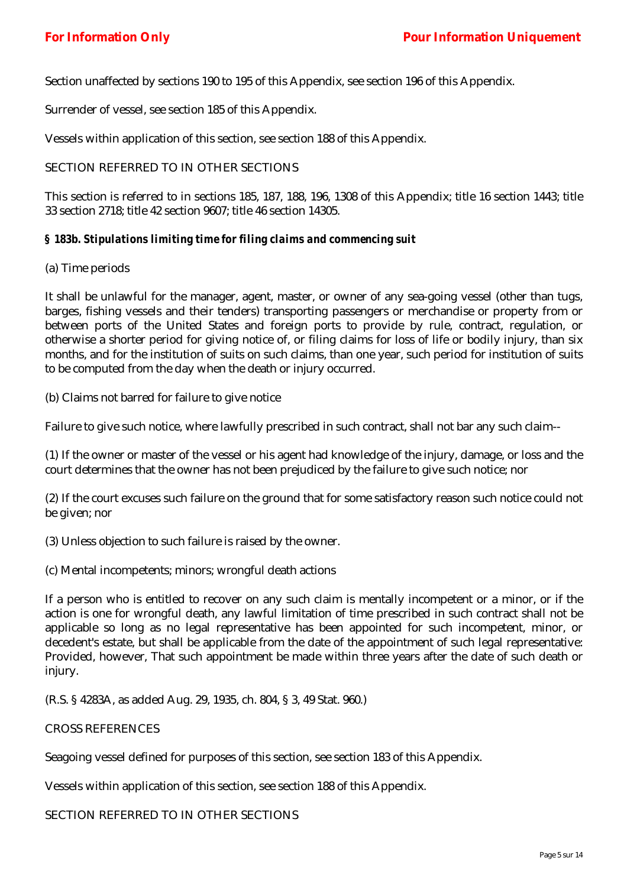Section unaffected by sections 190 to 195 of this Appendix, see section 196 of this Appendix.

Surrender of vessel, see section 185 of this Appendix.

Vessels within application of this section, see section 188 of this Appendix.

## SECTION REFERRED TO IN OTHER SECTIONS

This section is referred to in sections 185, 187, 188, 196, 1308 of this Appendix; title 16 section 1443; title 33 section 2718; title 42 section 9607; title 46 section 14305.

## *§ 183b. Stipulations limiting time for filing claims and commencing suit*

#### (a) Time periods

It shall be unlawful for the manager, agent, master, or owner of any sea-going vessel (other than tugs, barges, fishing vessels and their tenders) transporting passengers or merchandise or property from or between ports of the United States and foreign ports to provide by rule, contract, regulation, or otherwise a shorter period for giving notice of, or filing claims for loss of life or bodily injury, than six months, and for the institution of suits on such claims, than one year, such period for institution of suits to be computed from the day when the death or injury occurred.

(b) Claims not barred for failure to give notice

Failure to give such notice, where lawfully prescribed in such contract, shall not bar any such claim--

(1) If the owner or master of the vessel or his agent had knowledge of the injury, damage, or loss and the court determines that the owner has not been prejudiced by the failure to give such notice; nor

(2) If the court excuses such failure on the ground that for some satisfactory reason such notice could not be given; nor

(3) Unless objection to such failure is raised by the owner.

(c) Mental incompetents; minors; wrongful death actions

If a person who is entitled to recover on any such claim is mentally incompetent or a minor, or if the action is one for wrongful death, any lawful limitation of time prescribed in such contract shall not be applicable so long as no legal representative has been appointed for such incompetent, minor, or decedent's estate, but shall be applicable from the date of the appointment of such legal representative: Provided, however, That such appointment be made within three years after the date of such death or injury.

(R.S. § 4283A, as added Aug. 29, 1935, ch. 804, § 3, 49 Stat. 960.)

#### CROSS REFERENCES

Seagoing vessel defined for purposes of this section, see section 183 of this Appendix.

Vessels within application of this section, see section 188 of this Appendix.

SECTION REFERRED TO IN OTHER SECTIONS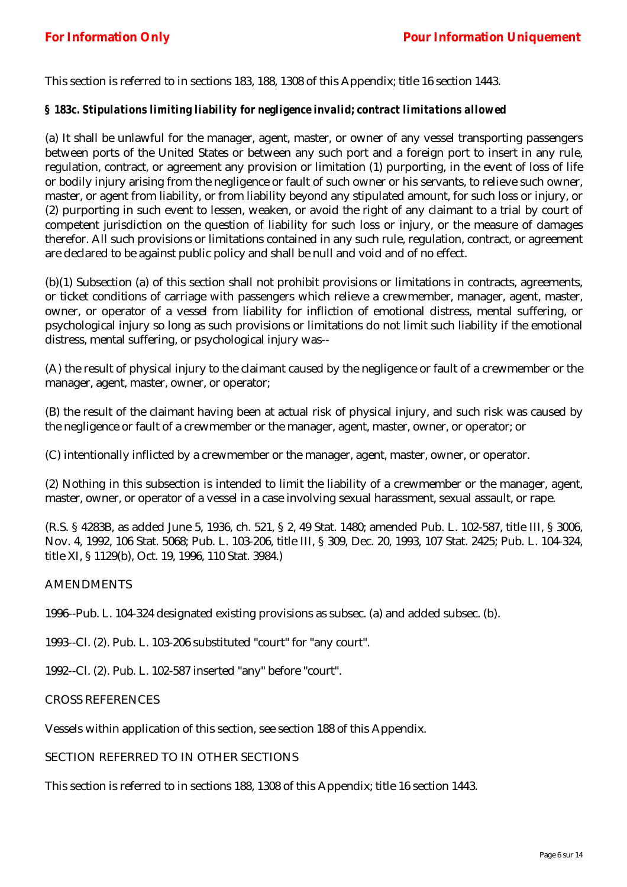This section is referred to in sections 183, 188, 1308 of this Appendix; title 16 section 1443.

## *§ 183c. Stipulations limiting liability for negligence invalid; contract limitations allowed*

(a) It shall be unlawful for the manager, agent, master, or owner of any vessel transporting passengers between ports of the United States or between any such port and a foreign port to insert in any rule, regulation, contract, or agreement any provision or limitation (1) purporting, in the event of loss of life or bodily injury arising from the negligence or fault of such owner or his servants, to relieve such owner, master, or agent from liability, or from liability beyond any stipulated amount, for such loss or injury, or (2) purporting in such event to lessen, weaken, or avoid the right of any claimant to a trial by court of competent jurisdiction on the question of liability for such loss or injury, or the measure of damages therefor. All such provisions or limitations contained in any such rule, regulation, contract, or agreement are declared to be against public policy and shall be null and void and of no effect.

(b)(1) Subsection (a) of this section shall not prohibit provisions or limitations in contracts, agreements, or ticket conditions of carriage with passengers which relieve a crewmember, manager, agent, master, owner, or operator of a vessel from liability for infliction of emotional distress, mental suffering, or psychological injury so long as such provisions or limitations do not limit such liability if the emotional distress, mental suffering, or psychological injury was--

(A) the result of physical injury to the claimant caused by the negligence or fault of a crewmember or the manager, agent, master, owner, or operator;

(B) the result of the claimant having been at actual risk of physical injury, and such risk was caused by the negligence or fault of a crewmember or the manager, agent, master, owner, or operator; or

(C) intentionally inflicted by a crewmember or the manager, agent, master, owner, or operator.

(2) Nothing in this subsection is intended to limit the liability of a crewmember or the manager, agent, master, owner, or operator of a vessel in a case involving sexual harassment, sexual assault, or rape.

(R.S. § 4283B, as added June 5, 1936, ch. 521, § 2, 49 Stat. 1480; amended Pub. L. 102-587, title III, § 3006, Nov. 4, 1992, 106 Stat. 5068; Pub. L. 103-206, title III, § 309, Dec. 20, 1993, 107 Stat. 2425; Pub. L. 104-324, title XI, § 1129(b), Oct. 19, 1996, 110 Stat. 3984.)

#### AMENDMENTS

1996--Pub. L. 104-324 designated existing provisions as subsec. (a) and added subsec. (b).

1993--Cl. (2). Pub. L. 103-206 substituted "court" for "any court".

1992--Cl. (2). Pub. L. 102-587 inserted "any" before "court".

## CROSS REFERENCES

Vessels within application of this section, see section 188 of this Appendix.

## SECTION REFERRED TO IN OTHER SECTIONS

This section is referred to in sections 188, 1308 of this Appendix; title 16 section 1443.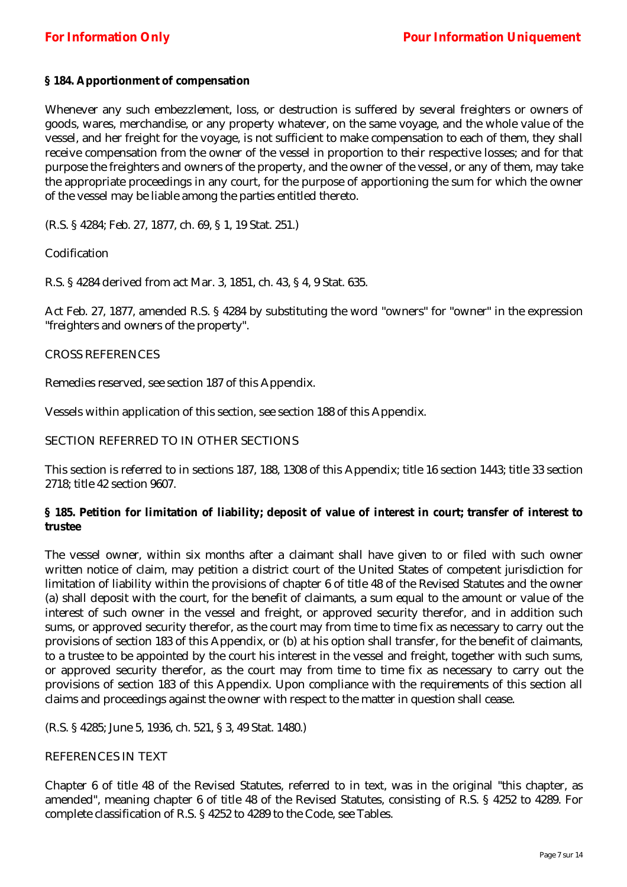## **§ 184. Apportionment of compensation**

Whenever any such embezzlement, loss, or destruction is suffered by several freighters or owners of goods, wares, merchandise, or any property whatever, on the same voyage, and the whole value of the vessel, and her freight for the voyage, is not sufficient to make compensation to each of them, they shall receive compensation from the owner of the vessel in proportion to their respective losses; and for that purpose the freighters and owners of the property, and the owner of the vessel, or any of them, may take the appropriate proceedings in any court, for the purpose of apportioning the sum for which the owner of the vessel may be liable among the parties entitled thereto.

(R.S. § 4284; Feb. 27, 1877, ch. 69, § 1, 19 Stat. 251.)

Codification

R.S. § 4284 derived from act Mar. 3, 1851, ch. 43, § 4, 9 Stat. 635.

Act Feb. 27, 1877, amended R.S. § 4284 by substituting the word "owners" for "owner" in the expression "freighters and owners of the property".

## CROSS REFERENCES

Remedies reserved, see section 187 of this Appendix.

Vessels within application of this section, see section 188 of this Appendix.

#### SECTION REFERRED TO IN OTHER SECTIONS

This section is referred to in sections 187, 188, 1308 of this Appendix; title 16 section 1443; title 33 section 2718; title 42 section 9607.

## **§ 185. Petition for limitation of liability; deposit of value of interest in court; transfer of interest to trustee**

The vessel owner, within six months after a claimant shall have given to or filed with such owner written notice of claim, may petition a district court of the United States of competent jurisdiction for limitation of liability within the provisions of chapter 6 of title 48 of the Revised Statutes and the owner (a) shall deposit with the court, for the benefit of claimants, a sum equal to the amount or value of the interest of such owner in the vessel and freight, or approved security therefor, and in addition such sums, or approved security therefor, as the court may from time to time fix as necessary to carry out the provisions of section 183 of this Appendix, or (b) at his option shall transfer, for the benefit of claimants, to a trustee to be appointed by the court his interest in the vessel and freight, together with such sums, or approved security therefor, as the court may from time to time fix as necessary to carry out the provisions of section 183 of this Appendix. Upon compliance with the requirements of this section all claims and proceedings against the owner with respect to the matter in question shall cease.

(R.S. § 4285; June 5, 1936, ch. 521, § 3, 49 Stat. 1480.)

#### REFERENCES IN TEXT

Chapter 6 of title 48 of the Revised Statutes, referred to in text, was in the original "this chapter, as amended", meaning chapter 6 of title 48 of the Revised Statutes, consisting of R.S. § 4252 to 4289. For complete classification of R.S. § 4252 to 4289 to the Code, see Tables.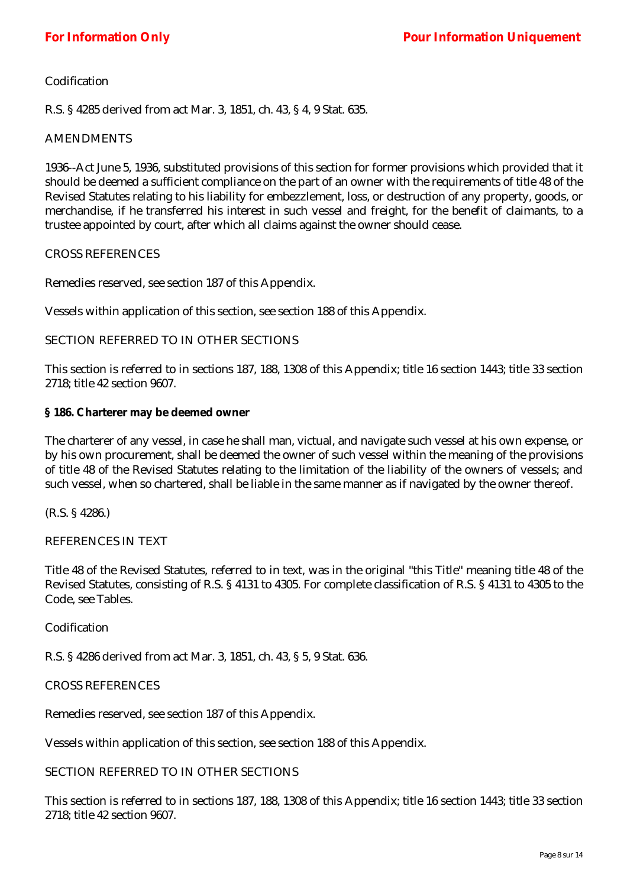## Codification

R.S. § 4285 derived from act Mar. 3, 1851, ch. 43, § 4, 9 Stat. 635.

#### AMENDMENTS

1936--Act June 5, 1936, substituted provisions of this section for former provisions which provided that it should be deemed a sufficient compliance on the part of an owner with the requirements of title 48 of the Revised Statutes relating to his liability for embezzlement, loss, or destruction of any property, goods, or merchandise, if he transferred his interest in such vessel and freight, for the benefit of claimants, to a trustee appointed by court, after which all claims against the owner should cease.

#### CROSS REFERENCES

Remedies reserved, see section 187 of this Appendix.

Vessels within application of this section, see section 188 of this Appendix.

## SECTION REFERRED TO IN OTHER SECTIONS

This section is referred to in sections 187, 188, 1308 of this Appendix; title 16 section 1443; title 33 section 2718; title 42 section 9607.

## **§ 186. Charterer may be deemed owner**

The charterer of any vessel, in case he shall man, victual, and navigate such vessel at his own expense, or by his own procurement, shall be deemed the owner of such vessel within the meaning of the provisions of title 48 of the Revised Statutes relating to the limitation of the liability of the owners of vessels; and such vessel, when so chartered, shall be liable in the same manner as if navigated by the owner thereof.

(R.S. § 4286.)

## REFERENCES IN TEXT

Title 48 of the Revised Statutes, referred to in text, was in the original "this Title" meaning title 48 of the Revised Statutes, consisting of R.S. § 4131 to 4305. For complete classification of R.S. § 4131 to 4305 to the Code, see Tables.

#### Codification

R.S. § 4286 derived from act Mar. 3, 1851, ch. 43, § 5, 9 Stat. 636.

#### CROSS REFERENCES

Remedies reserved, see section 187 of this Appendix.

Vessels within application of this section, see section 188 of this Appendix.

#### SECTION REFERRED TO IN OTHER SECTIONS

This section is referred to in sections 187, 188, 1308 of this Appendix; title 16 section 1443; title 33 section 2718; title 42 section 9607.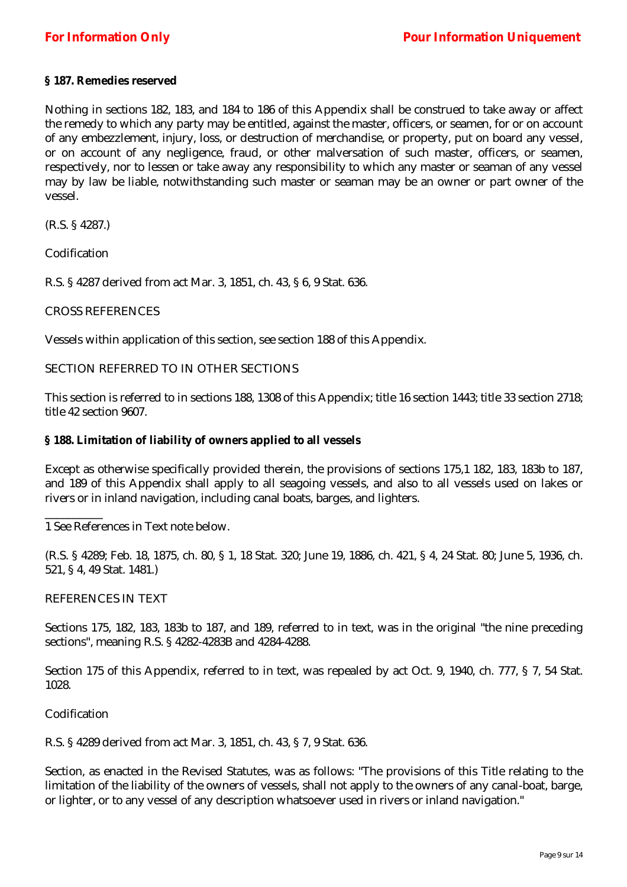## **§ 187. Remedies reserved**

Nothing in sections 182, 183, and 184 to 186 of this Appendix shall be construed to take away or affect the remedy to which any party may be entitled, against the master, officers, or seamen, for or on account of any embezzlement, injury, loss, or destruction of merchandise, or property, put on board any vessel, or on account of any negligence, fraud, or other malversation of such master, officers, or seamen, respectively, nor to lessen or take away any responsibility to which any master or seaman of any vessel may by law be liable, notwithstanding such master or seaman may be an owner or part owner of the vessel.

(R.S. § 4287.)

Codification

R.S. § 4287 derived from act Mar. 3, 1851, ch. 43, § 6, 9 Stat. 636.

#### CROSS REFERENCES

Vessels within application of this section, see section 188 of this Appendix.

## SECTION REFERRED TO IN OTHER SECTIONS

This section is referred to in sections 188, 1308 of this Appendix; title 16 section 1443; title 33 section 2718; title 42 section 9607.

## **§ 188. Limitation of liability of owners applied to all vessels**

Except as otherwise specifically provided therein, the provisions of sections 175,1 182, 183, 183b to 187, and 189 of this Appendix shall apply to all seagoing vessels, and also to all vessels used on lakes or rivers or in inland navigation, including canal boats, barges, and lighters.

1 See References in Text note below.

(R.S. § 4289; Feb. 18, 1875, ch. 80, § 1, 18 Stat. 320; June 19, 1886, ch. 421, § 4, 24 Stat. 80; June 5, 1936, ch. 521, § 4, 49 Stat. 1481.)

#### REFERENCES IN TEXT

Sections 175, 182, 183, 183b to 187, and 189, referred to in text, was in the original "the nine preceding sections", meaning R.S. § 4282-4283B and 4284-4288.

Section 175 of this Appendix, referred to in text, was repealed by act Oct. 9, 1940, ch. 777, § 7, 54 Stat. 1028.

Codification

\_\_\_\_\_\_\_\_\_\_

R.S. § 4289 derived from act Mar. 3, 1851, ch. 43, § 7, 9 Stat. 636.

Section, as enacted in the Revised Statutes, was as follows: "The provisions of this Title relating to the limitation of the liability of the owners of vessels, shall not apply to the owners of any canal-boat, barge, or lighter, or to any vessel of any description whatsoever used in rivers or inland navigation."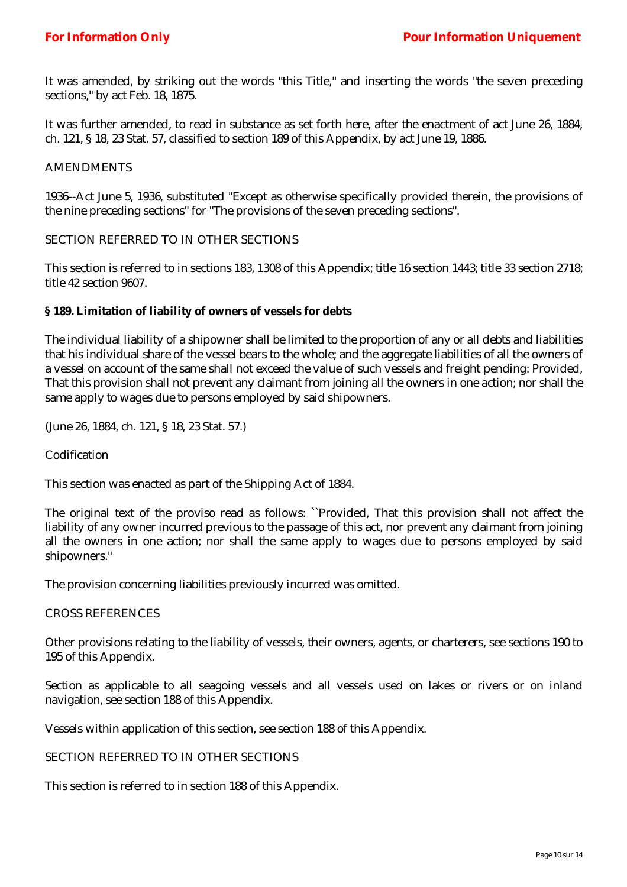It was amended, by striking out the words "this Title," and inserting the words "the seven preceding sections," by act Feb. 18, 1875.

It was further amended, to read in substance as set forth here, after the enactment of act June 26, 1884, ch. 121, § 18, 23 Stat. 57, classified to section 189 of this Appendix, by act June 19, 1886.

#### **AMENDMENTS**

1936--Act June 5, 1936, substituted "Except as otherwise specifically provided therein, the provisions of the nine preceding sections" for "The provisions of the seven preceding sections".

#### SECTION REFERRED TO IN OTHER SECTIONS

This section is referred to in sections 183, 1308 of this Appendix; title 16 section 1443; title 33 section 2718; title 42 section 9607.

#### **§ 189. Limitation of liability of owners of vessels for debts**

The individual liability of a shipowner shall be limited to the proportion of any or all debts and liabilities that his individual share of the vessel bears to the whole; and the aggregate liabilities of all the owners of a vessel on account of the same shall not exceed the value of such vessels and freight pending: Provided, That this provision shall not prevent any claimant from joining all the owners in one action; nor shall the same apply to wages due to persons employed by said shipowners.

(June 26, 1884, ch. 121, § 18, 23 Stat. 57.)

Codification

This section was enacted as part of the Shipping Act of 1884.

The original text of the proviso read as follows: ``Provided, That this provision shall not affect the liability of any owner incurred previous to the passage of this act, nor prevent any claimant from joining all the owners in one action; nor shall the same apply to wages due to persons employed by said shipowners."

The provision concerning liabilities previously incurred was omitted.

#### CROSS REFERENCES

Other provisions relating to the liability of vessels, their owners, agents, or charterers, see sections 190 to 195 of this Appendix.

Section as applicable to all seagoing vessels and all vessels used on lakes or rivers or on inland navigation, see section 188 of this Appendix.

Vessels within application of this section, see section 188 of this Appendix.

## SECTION REFERRED TO IN OTHER SECTIONS

This section is referred to in section 188 of this Appendix.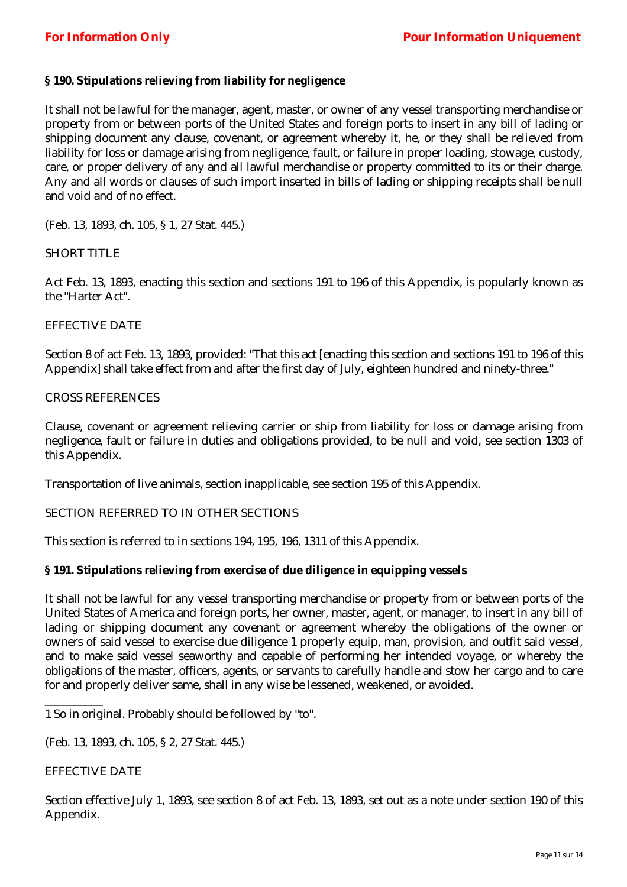## **§ 190. Stipulations relieving from liability for negligence**

It shall not be lawful for the manager, agent, master, or owner of any vessel transporting merchandise or property from or between ports of the United States and foreign ports to insert in any bill of lading or shipping document any clause, covenant, or agreement whereby it, he, or they shall be relieved from liability for loss or damage arising from negligence, fault, or failure in proper loading, stowage, custody, care, or proper delivery of any and all lawful merchandise or property committed to its or their charge. Any and all words or clauses of such import inserted in bills of lading or shipping receipts shall be null and void and of no effect.

(Feb. 13, 1893, ch. 105, § 1, 27 Stat. 445.)

## SHORT TITLE

Act Feb. 13, 1893, enacting this section and sections 191 to 196 of this Appendix, is popularly known as the "Harter Act".

#### EFFECTIVE DATE

Section 8 of act Feb. 13, 1893, provided: "That this act [enacting this section and sections 191 to 196 of this Appendix] shall take effect from and after the first day of July, eighteen hundred and ninety-three."

## CROSS REFERENCES

Clause, covenant or agreement relieving carrier or ship from liability for loss or damage arising from negligence, fault or failure in duties and obligations provided, to be null and void, see section 1303 of this Appendix.

Transportation of live animals, section inapplicable, see section 195 of this Appendix.

## SECTION REFERRED TO IN OTHER SECTIONS

This section is referred to in sections 194, 195, 196, 1311 of this Appendix.

## **§ 191. Stipulations relieving from exercise of due diligence in equipping vessels**

It shall not be lawful for any vessel transporting merchandise or property from or between ports of the United States of America and foreign ports, her owner, master, agent, or manager, to insert in any bill of lading or shipping document any covenant or agreement whereby the obligations of the owner or owners of said vessel to exercise due diligence 1 properly equip, man, provision, and outfit said vessel, and to make said vessel seaworthy and capable of performing her intended voyage, or whereby the obligations of the master, officers, agents, or servants to carefully handle and stow her cargo and to care for and properly deliver same, shall in any wise be lessened, weakened, or avoided.

1 So in original. Probably should be followed by "to".

(Feb. 13, 1893, ch. 105, § 2, 27 Stat. 445.)

## EFFECTIVE DATE

\_\_\_\_\_\_\_\_\_\_

Section effective July 1, 1893, see section 8 of act Feb. 13, 1893, set out as a note under section 190 of this Appendix.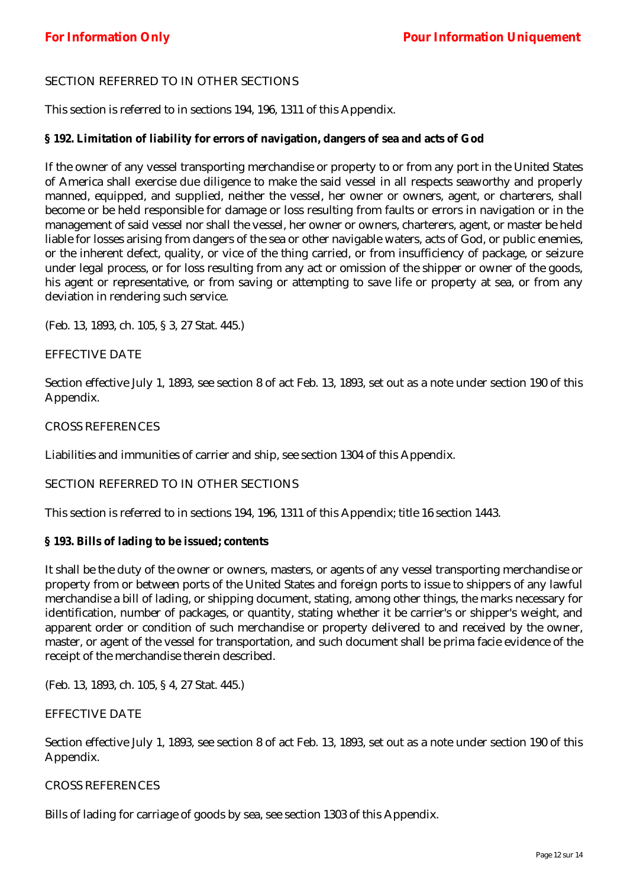## SECTION REFERRED TO IN OTHER SECTIONS

This section is referred to in sections 194, 196, 1311 of this Appendix.

## **§ 192. Limitation of liability for errors of navigation, dangers of sea and acts of God**

If the owner of any vessel transporting merchandise or property to or from any port in the United States of America shall exercise due diligence to make the said vessel in all respects seaworthy and properly manned, equipped, and supplied, neither the vessel, her owner or owners, agent, or charterers, shall become or be held responsible for damage or loss resulting from faults or errors in navigation or in the management of said vessel nor shall the vessel, her owner or owners, charterers, agent, or master be held liable for losses arising from dangers of the sea or other navigable waters, acts of God, or public enemies, or the inherent defect, quality, or vice of the thing carried, or from insufficiency of package, or seizure under legal process, or for loss resulting from any act or omission of the shipper or owner of the goods, his agent or representative, or from saving or attempting to save life or property at sea, or from any deviation in rendering such service.

(Feb. 13, 1893, ch. 105, § 3, 27 Stat. 445.)

## EFFECTIVE DATE

Section effective July 1, 1893, see section 8 of act Feb. 13, 1893, set out as a note under section 190 of this Appendix.

#### CROSS REFERENCES

Liabilities and immunities of carrier and ship, see section 1304 of this Appendix.

## SECTION REFERRED TO IN OTHER SECTIONS

This section is referred to in sections 194, 196, 1311 of this Appendix; title 16 section 1443.

#### **§ 193. Bills of lading to be issued; contents**

It shall be the duty of the owner or owners, masters, or agents of any vessel transporting merchandise or property from or between ports of the United States and foreign ports to issue to shippers of any lawful merchandise a bill of lading, or shipping document, stating, among other things, the marks necessary for identification, number of packages, or quantity, stating whether it be carrier's or shipper's weight, and apparent order or condition of such merchandise or property delivered to and received by the owner, master, or agent of the vessel for transportation, and such document shall be prima facie evidence of the receipt of the merchandise therein described.

(Feb. 13, 1893, ch. 105, § 4, 27 Stat. 445.)

#### EFFECTIVE DATE

Section effective July 1, 1893, see section 8 of act Feb. 13, 1893, set out as a note under section 190 of this Appendix.

#### CROSS REFERENCES

Bills of lading for carriage of goods by sea, see section 1303 of this Appendix.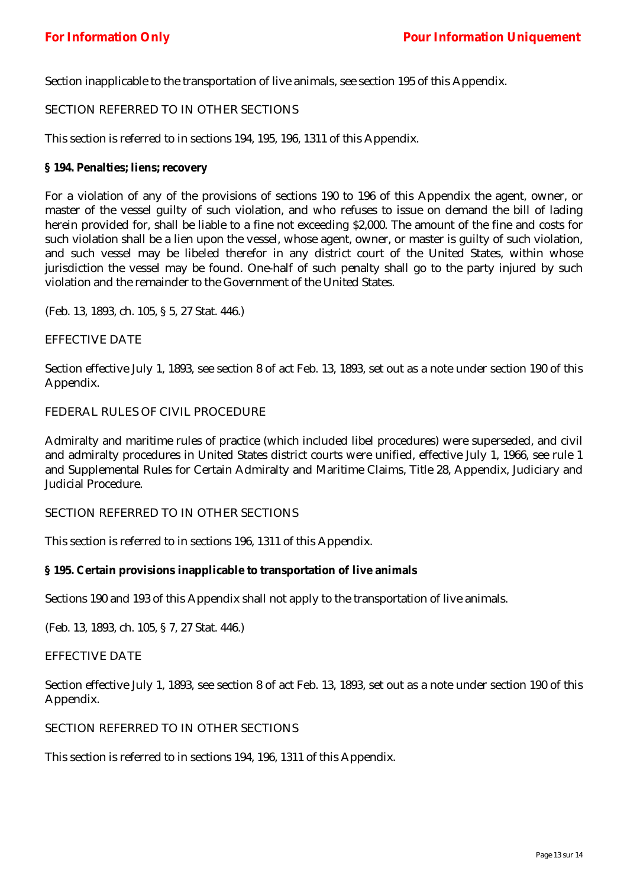Section inapplicable to the transportation of live animals, see section 195 of this Appendix.

## SECTION REFERRED TO IN OTHER SECTIONS

This section is referred to in sections 194, 195, 196, 1311 of this Appendix.

#### **§ 194. Penalties; liens; recovery**

For a violation of any of the provisions of sections 190 to 196 of this Appendix the agent, owner, or master of the vessel guilty of such violation, and who refuses to issue on demand the bill of lading herein provided for, shall be liable to a fine not exceeding \$2,000. The amount of the fine and costs for such violation shall be a lien upon the vessel, whose agent, owner, or master is guilty of such violation, and such vessel may be libeled therefor in any district court of the United States, within whose jurisdiction the vessel may be found. One-half of such penalty shall go to the party injured by such violation and the remainder to the Government of the United States.

(Feb. 13, 1893, ch. 105, § 5, 27 Stat. 446.)

## EFFECTIVE DATE

Section effective July 1, 1893, see section 8 of act Feb. 13, 1893, set out as a note under section 190 of this Appendix.

## FEDERAL RULES OF CIVIL PROCEDURE

Admiralty and maritime rules of practice (which included libel procedures) were superseded, and civil and admiralty procedures in United States district courts were unified, effective July 1, 1966, see rule 1 and Supplemental Rules for Certain Admiralty and Maritime Claims, Title 28, Appendix, Judiciary and Judicial Procedure.

## SECTION REFERRED TO IN OTHER SECTIONS

This section is referred to in sections 196, 1311 of this Appendix.

#### **§ 195. Certain provisions inapplicable to transportation of live animals**

Sections 190 and 193 of this Appendix shall not apply to the transportation of live animals.

(Feb. 13, 1893, ch. 105, § 7, 27 Stat. 446.)

#### EFFECTIVE DATE

Section effective July 1, 1893, see section 8 of act Feb. 13, 1893, set out as a note under section 190 of this Appendix.

#### SECTION REFERRED TO IN OTHER SECTIONS

This section is referred to in sections 194, 196, 1311 of this Appendix.